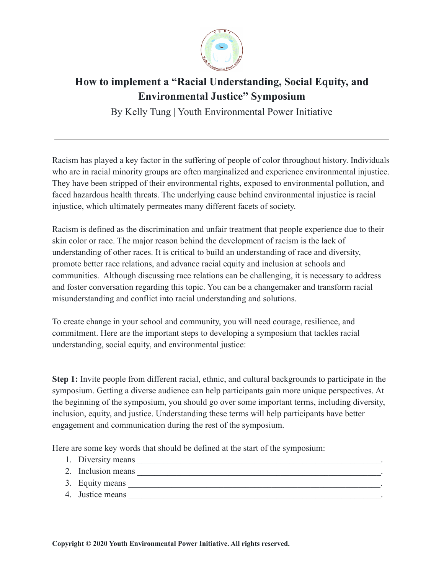

## **How to implement a "Racial Understanding, Social Equity, and Environmental Justice" Symposium**

By Kelly Tung | Youth Environmental Power Initiative

Racism has played a key factor in the suffering of people of color throughout history. Individuals who are in racial minority groups are often marginalized and experience environmental injustice. They have been stripped of their environmental rights, exposed to environmental pollution, and faced hazardous health threats. The underlying cause behind environmental injustice is racial injustice, which ultimately permeates many different facets of society.

Racism is defined as the discrimination and unfair treatment that people experience due to their skin color or race. The major reason behind the development of racism is the lack of understanding of other races. It is critical to build an understanding of race and diversity, promote better race relations, and advance racial equity and inclusion at schools and communities. Although discussing race relations can be challenging, it is necessary to address and foster conversation regarding this topic. You can be a changemaker and transform racial misunderstanding and conflict into racial understanding and solutions.

To create change in your school and community, you will need courage, resilience, and commitment. Here are the important steps to developing a symposium that tackles racial understanding, social equity, and environmental justice:

**Step 1:** Invite people from different racial, ethnic, and cultural backgrounds to participate in the symposium. Getting a diverse audience can help participants gain more unique perspectives. At the beginning of the symposium, you should go over some important terms, including diversity, inclusion, equity, and justice. Understanding these terms will help participants have better engagement and communication during the rest of the symposium.

Here are some key words that should be defined at the start of the symposium:

- 1. Diversity means
- 2. Inclusion means
- 3. Equity means \_\_\_\_\_\_\_\_\_\_\_\_\_\_\_\_\_\_\_\_\_\_\_\_\_\_\_\_\_\_\_\_\_\_\_\_\_\_\_\_\_\_\_\_\_\_\_\_\_\_\_\_\_\_\_\_\_\_.
- 4. Justice means \_\_\_\_\_\_\_\_\_\_\_\_\_\_\_\_\_\_\_\_\_\_\_\_\_\_\_\_\_\_\_\_\_\_\_\_\_\_\_\_\_\_\_\_\_\_\_\_\_\_\_\_\_\_\_\_\_\_.

**Copyright © 2020 Youth Environmental Power Initiative. All rights reserved.**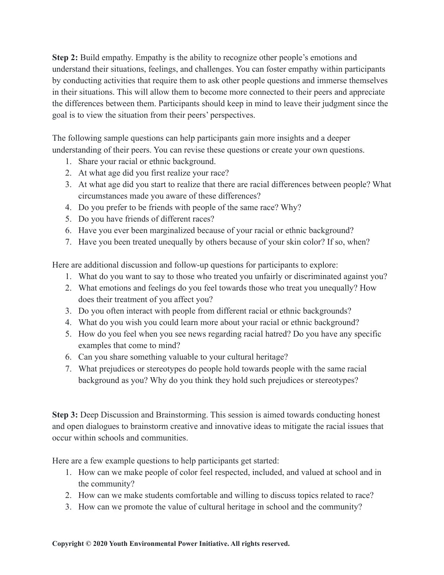**Step 2:** Build empathy. Empathy is the ability to recognize other people's emotions and understand their situations, feelings, and challenges. You can foster empathy within participants by conducting activities that require them to ask other people questions and immerse themselves in their situations. This will allow them to become more connected to their peers and appreciate the differences between them. Participants should keep in mind to leave their judgment since the goal is to view the situation from their peers' perspectives.

The following sample questions can help participants gain more insights and a deeper understanding of their peers. You can revise these questions or create your own questions.

- 1. Share your racial or ethnic background.
- 2. At what age did you first realize your race?
- 3. At what age did you start to realize that there are racial differences between people? What circumstances made you aware of these differences?
- 4. Do you prefer to be friends with people of the same race? Why?
- 5. Do you have friends of different races?
- 6. Have you ever been marginalized because of your racial or ethnic background?
- 7. Have you been treated unequally by others because of your skin color? If so, when?

Here are additional discussion and follow-up questions for participants to explore:

- 1. What do you want to say to those who treated you unfairly or discriminated against you?
- 2. What emotions and feelings do you feel towards those who treat you unequally? How does their treatment of you affect you?
- 3. Do you often interact with people from different racial or ethnic backgrounds?
- 4. What do you wish you could learn more about your racial or ethnic background?
- 5. How do you feel when you see news regarding racial hatred? Do you have any specific examples that come to mind?
- 6. Can you share something valuable to your cultural heritage?
- 7. What prejudices or stereotypes do people hold towards people with the same racial background as you? Why do you think they hold such prejudices or stereotypes?

**Step 3:** Deep Discussion and Brainstorming. This session is aimed towards conducting honest and open dialogues to brainstorm creative and innovative ideas to mitigate the racial issues that occur within schools and communities.

Here are a few example questions to help participants get started:

- 1. How can we make people of color feel respected, included, and valued at school and in the community?
- 2. How can we make students comfortable and willing to discuss topics related to race?
- 3. How can we promote the value of cultural heritage in school and the community?